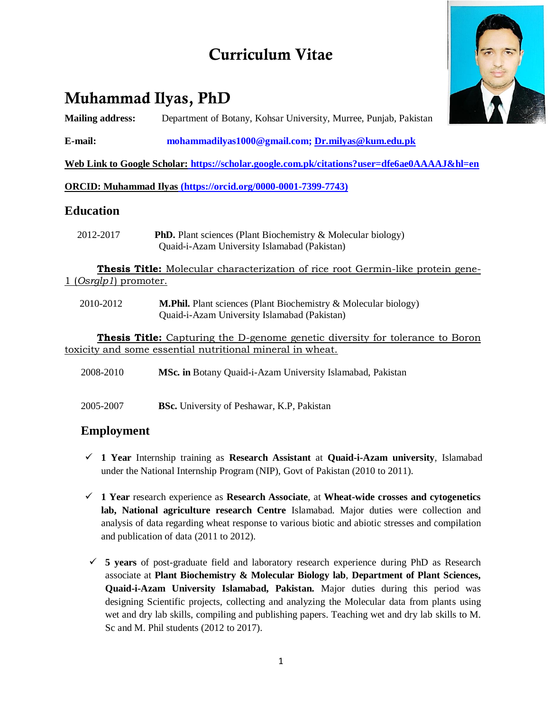# **Curriculum Vitae**

# **Muhammad Ilyas, PhD**

**Mailing address:** Department of Botany, Kohsar University, Murree, Punjab, Pakistan

**E-mail: [mohammadilyas1000@gmail.com;](mailto:mohammadilyas1000@gmail.com) [Dr.milyas@kum.edu.pk](mailto:Dr.milyas@kum.edu.pk)**

**Web Link to Google Scholar: <https://scholar.google.com.pk/citations?user=dfe6ae0AAAAJ&hl=en>**

**ORCID: Muhammad Ilyas (https://orcid.org/0000-0001-7399-7743)**

### **Education**

 2012-2017 **PhD.** Plant sciences (Plant Biochemistry & Molecular biology) Quaid-i-Azam University Islamabad (Pakistan)

**Thesis Title:** Molecular characterization of rice root Germin-like protein gene-1 (*Osrglp1*) promoter.

 2010-2012 **M.Phil.** Plant sciences (Plant Biochemistry & Molecular biology) Quaid-i-Azam University Islamabad (Pakistan)

**Thesis Title:** Capturing the D-genome genetic diversity for tolerance to Boron toxicity and some essential nutritional mineral in wheat.

- 2008-2010 **MSc. in** Botany Quaid-i-Azam University Islamabad, Pakistan
- 2005-2007 **BSc.** University of Peshawar, K.P, Pakistan

# **Employment**

- **1 Year** Internship training as **Research Assistant** at **Quaid-i-Azam university**, Islamabad under the National Internship Program (NIP), Govt of Pakistan (2010 to 2011).
- **1 Year** research experience as **Research Associate**, at **Wheat-wide crosses and cytogenetics lab, National agriculture research Centre** Islamabad. Major duties were collection and analysis of data regarding wheat response to various biotic and abiotic stresses and compilation and publication of data (2011 to 2012).
- **5 years** of post-graduate field and laboratory research experience during PhD as Research associate at **Plant Biochemistry & Molecular Biology lab**, **Department of Plant Sciences, Quaid-i-Azam University Islamabad, Pakistan.** Major duties during this period was designing Scientific projects, collecting and analyzing the Molecular data from plants using wet and dry lab skills, compiling and publishing papers. Teaching wet and dry lab skills to M. Sc and M. Phil students (2012 to 2017).

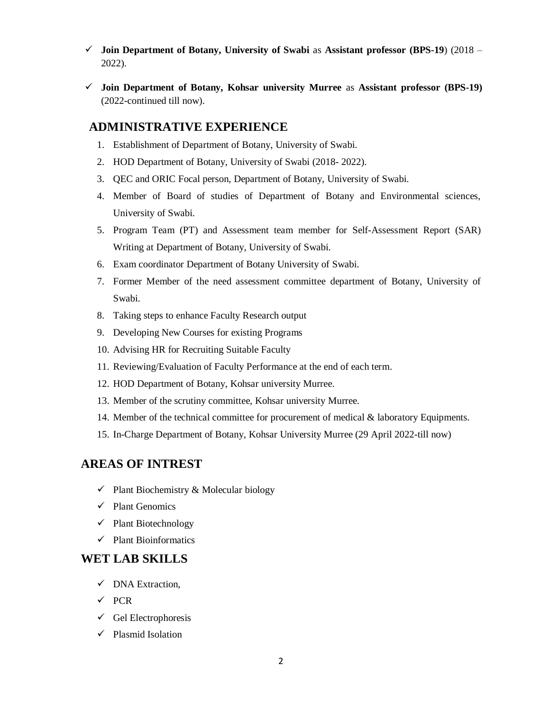- **Join Department of Botany, University of Swabi** as **Assistant professor (BPS-19**) (2018 2022).
- **Join Department of Botany, Kohsar university Murree** as **Assistant professor (BPS-19)** (2022-continued till now).

## **ADMINISTRATIVE EXPERIENCE**

- 1. Establishment of Department of Botany, University of Swabi.
- 2. HOD Department of Botany, University of Swabi (2018- 2022).
- 3. QEC and ORIC Focal person, Department of Botany, University of Swabi.
- 4. Member of Board of studies of Department of Botany and Environmental sciences, University of Swabi.
- 5. Program Team (PT) and Assessment team member for Self-Assessment Report (SAR) Writing at Department of Botany, University of Swabi.
- 6. Exam coordinator Department of Botany University of Swabi.
- 7. Former Member of the need assessment committee department of Botany, University of Swabi.
- 8. Taking steps to enhance Faculty Research output
- 9. Developing New Courses for existing Programs
- 10. Advising HR for Recruiting Suitable Faculty
- 11. Reviewing/Evaluation of Faculty Performance at the end of each term.
- 12. HOD Department of Botany, Kohsar university Murree.
- 13. Member of the scrutiny committee, Kohsar university Murree.
- 14. Member of the technical committee for procurement of medical & laboratory Equipments.
- 15. In-Charge Department of Botany, Kohsar University Murree (29 April 2022-till now)

### **AREAS OF INTREST**

- $\checkmark$  Plant Biochemistry & Molecular biology
- $\checkmark$  Plant Genomics
- $\checkmark$  Plant Biotechnology
- $\checkmark$  Plant Bioinformatics

### **WET LAB SKILLS**

- DNA Extraction,
- $\checkmark$  PCR
- $\checkmark$  Gel Electrophoresis
- $\checkmark$  Plasmid Isolation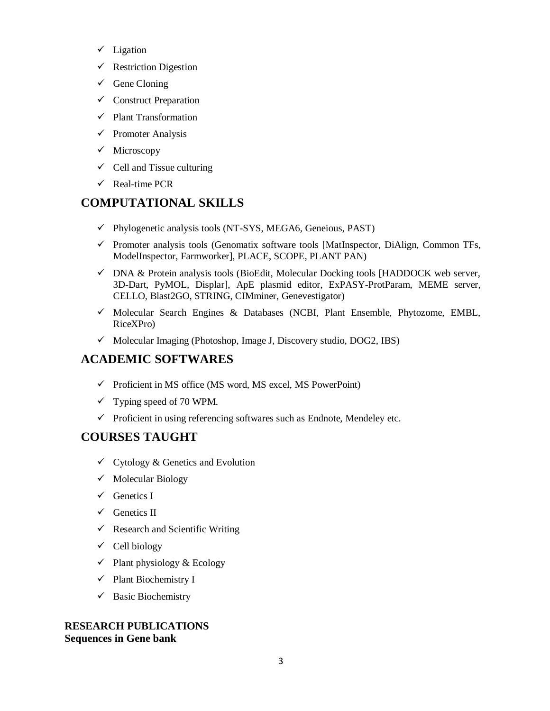- $\checkmark$  Ligation
- $\checkmark$  Restriction Digestion
- $\checkmark$  Gene Cloning
- $\checkmark$  Construct Preparation
- $\checkmark$  Plant Transformation
- $\checkmark$  Promoter Analysis
- $\checkmark$  Microscopy
- $\checkmark$  Cell and Tissue culturing
- $\checkmark$  Real-time PCR

# **COMPUTATIONAL SKILLS**

- $\checkmark$  Phylogenetic analysis tools (NT-SYS, MEGA6, Geneious, PAST)
- $\checkmark$  Promoter analysis tools (Genomatix software tools [MatInspector, DiAlign, Common TFs, ModelInspector, Farmworker], PLACE, SCOPE, PLANT PAN)
- $\checkmark$  DNA & Protein analysis tools (BioEdit, Molecular Docking tools [HADDOCK web server, 3D-Dart, PyMOL, Displar], ApE plasmid editor, ExPASY-ProtParam, MEME server, CELLO, Blast2GO, STRING, CIMminer, Genevestigator)
- $\checkmark$  Molecular Search Engines & Databases (NCBI, Plant Ensemble, Phytozome, EMBL, RiceXPro)
- $\checkmark$  Molecular Imaging (Photoshop, Image J, Discovery studio, DOG2, IBS)

# **ACADEMIC SOFTWARES**

- $\checkmark$  Proficient in MS office (MS word, MS excel, MS PowerPoint)
- $\checkmark$  Typing speed of 70 WPM.
- $\checkmark$  Proficient in using referencing softwares such as Endnote, Mendeley etc.

# **COURSES TAUGHT**

- $\checkmark$  Cytology & Genetics and Evolution
- $\checkmark$  Molecular Biology
- $\checkmark$  Genetics I
- $\checkmark$  Genetics II
- $\checkmark$  Research and Scientific Writing
- $\checkmark$  Cell biology
- $\checkmark$  Plant physiology & Ecology
- $\checkmark$  Plant Biochemistry I
- $\checkmark$  Basic Biochemistry

### **RESEARCH PUBLICATIONS Sequences in Gene bank**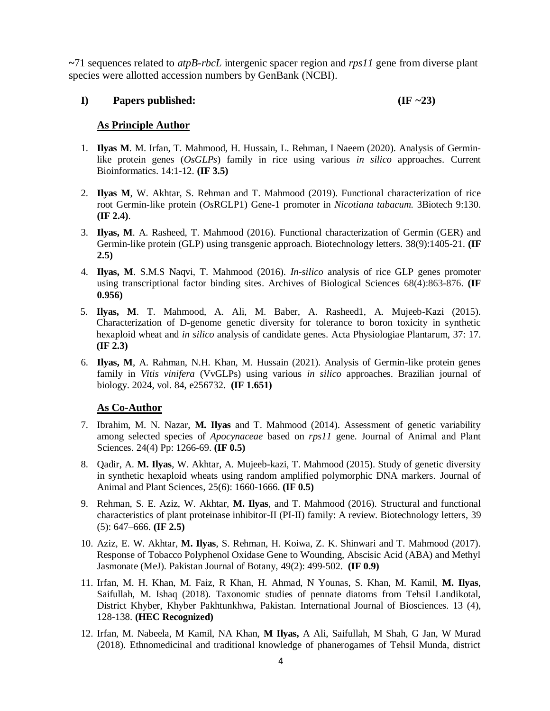**~**71 sequences related to *atpB*-*rbcL* intergenic spacer region and *rps11* gene from diverse plant species were allotted accession numbers by GenBank (NCBI).

#### **I) Papers published: (IF ~23)**

#### **As Principle Author**

- 1. **Ilyas M**. M. Irfan, T. Mahmood, H. Hussain, L. Rehman, I Naeem (2020). Analysis of Germinlike protein genes (*OsGLPs*) family in rice using various *in silico* approaches. Current Bioinformatics. 14:1-12. **(IF 3.5)**
- 2. **Ilyas M**, W. Akhtar, S. Rehman and T. Mahmood (2019). Functional characterization of rice root Germin-like protein (*Os*RGLP1) Gene-1 promoter in *Nicotiana tabacum.* 3Biotech 9:130. **(IF 2.4)**.
- 3. **Ilyas, M**. A. Rasheed, T. Mahmood (2016). Functional characterization of Germin (GER) and Germin-like protein (GLP) using transgenic approach. Biotechnology letters. 38(9):1405-21. **(IF 2.5)**
- 4. **Ilyas, M**. S.M.S Naqvi, T. Mahmood (2016). *In-silico* analysis of rice GLP genes promoter using transcriptional factor binding sites. Archives of Biological Sciences 68(4):863-876. **(IF 0.956)**
- 5. **Ilyas, M**. T. Mahmood, A. Ali, M. Baber, A. Rasheed1, A. Mujeeb-Kazi (2015). Characterization of D-genome genetic diversity for tolerance to boron toxicity in synthetic hexaploid wheat and *in silico* analysis of candidate genes. Acta Physiologiae Plantarum, 37: 17. **(IF 2.3)**
- 6. **Ilyas, M**, A. Rahman, N.H. Khan, M. Hussain (2021). Analysis of Germin-like protein genes family in *Vitis vinifera* (VvGLPs) using various *in silico* approaches. Brazilian journal of biology. 2024, vol. 84, e256732. **(IF 1.651)**

#### **As Co-Author**

- 7. Ibrahim, M. N. Nazar, **M. Ilyas** and T. Mahmood (2014). Assessment of genetic variability among selected species of *Apocynaceae* based on *rps11* gene. Journal of Animal and Plant Sciences. 24(4) Pp: 1266-69. **(IF 0.5)**
- 8. Qadir, A. **M. Ilyas**, W. Akhtar, A. Mujeeb-kazi, T. Mahmood (2015). Study of genetic diversity in synthetic hexaploid wheats using random amplified polymorphic DNA markers. Journal of Animal and Plant Sciences, 25(6): 1660-1666. **(IF 0.5)**
- 9. Rehman, S. E. Aziz, W. Akhtar, **M. Ilyas**, and T. Mahmood (2016). Structural and functional characteristics of plant proteinase inhibitor-II (PI-II) family: A review. Biotechnology letters, 39 (5): 647–666. **(IF 2.5)**
- 10. Aziz, E. W. Akhtar, **M. Ilyas**, S. Rehman, H. Koiwa, Z. K. Shinwari and T. Mahmood (2017). Response of Tobacco Polyphenol Oxidase Gene to Wounding, Abscisic Acid (ABA) and Methyl Jasmonate (MeJ). Pakistan Journal of Botany, 49(2): 499-502. **(IF 0.9)**
- 11. Irfan, M. H. Khan, M. Faiz, R Khan, H. Ahmad, N Younas, S. Khan, M. Kamil, **M. Ilyas**, Saifullah, M. Ishaq (2018). Taxonomic studies of pennate diatoms from Tehsil Landikotal, District Khyber, Khyber Pakhtunkhwa, Pakistan. International Journal of Biosciences. 13 (4), 128-138. **(HEC Recognized)**
- 12. Irfan, M. Nabeela, M Kamil, NA Khan, **M Ilyas,** A Ali, Saifullah, M Shah, G Jan, W Murad (2018). Ethnomedicinal and traditional knowledge of phanerogames of Tehsil Munda, district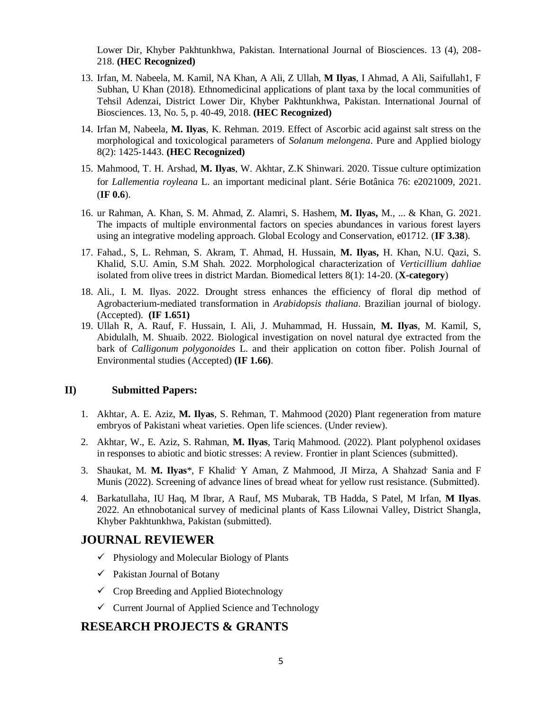Lower Dir, Khyber Pakhtunkhwa, Pakistan. International Journal of Biosciences. 13 (4), 208- 218. **(HEC Recognized)**

- 13. Irfan, M. Nabeela, M. Kamil, NA Khan, A Ali, Z Ullah, **M Ilyas**, I Ahmad, A Ali, Saifullah1, F Subhan, U Khan (2018). Ethnomedicinal applications of plant taxa by the local communities of Tehsil Adenzai, District Lower Dir, Khyber Pakhtunkhwa, Pakistan. International Journal of Biosciences. 13, No. 5, p. 40-49, 2018. **(HEC Recognized)**
- 14. Irfan M, Nabeela, **M. Ilyas**, K. Rehman. 2019. Effect of Ascorbic acid against salt stress on the morphological and toxicological parameters of *Solanum melongena*. Pure and Applied biology 8(2): 1425-1443. **(HEC Recognized)**
- 15. Mahmood, T. H. Arshad, **M. Ilyas**, W. Akhtar, Z.K Shinwari. 2020. Tissue culture optimization for *Lallementia royleana* L. an important medicinal plant. Série Botânica 76: e2021009, 2021. (**IF 0.6**).
- 16. ur Rahman, A. Khan, S. M. Ahmad, Z. Alamri, S. Hashem, **M. Ilyas,** M., ... & Khan, G. 2021. The impacts of multiple environmental factors on species abundances in various forest layers using an integrative modeling approach. Global Ecology and Conservation, e01712. (**IF 3.38**).
- 17. Fahad., S, L. Rehman, S. Akram, T. Ahmad, H. Hussain, **M. Ilyas,** H. Khan, N.U. Qazi, S. Khalid, S.U. Amin, S.M Shah. 2022. Morphological characterization of *Verticillium dahliae* isolated from olive trees in district Mardan. Biomedical letters 8(1): 14-20. (**X-category**)
- 18. Ali., I. M. Ilyas. 2022. Drought stress enhances the efficiency of floral dip method of Agrobacterium-mediated transformation in *Arabidopsis thaliana*. Brazilian journal of biology. (Accepted). **(IF 1.651)**
- 19. Ullah R, A. Rauf, F. Hussain, I. Ali, J. Muhammad, H. Hussain, **M. Ilyas**, M. Kamil, S, Abidulalh, M. Shuaib. 2022. Biological investigation on novel natural dye extracted from the bark of *Calligonum polygonoides* L. and their application on cotton fiber. Polish Journal of Environmental studies (Accepted) **(IF 1.66)**.

#### **II) Submitted Papers:**

- 1. Akhtar, A. E. Aziz, **M. Ilyas**, S. Rehman, T. Mahmood (2020) Plant regeneration from mature embryos of Pakistani wheat varieties. Open life sciences. (Under review).
- 2. Akhtar, W., E. Aziz, S. Rahman, **M. Ilyas**, Tariq Mahmood. (2022). Plant polyphenol oxidases in responses to abiotic and biotic stresses: A review. Frontier in plant Sciences (submitted).
- 3. Shaukat, M. **M. Ilyas**\*, F Khalid, Y Aman, Z Mahmood, JI Mirza, A Shahzad, Sania and F Munis (2022). Screening of advance lines of bread wheat for yellow rust resistance. (Submitted).
- 4. Barkatullaha, IU Haq, M Ibrar, A Rauf, MS Mubarak, TB Hadda, S Patel, M Irfan, **M Ilyas**. 2022. An ethnobotanical survey of medicinal plants of Kass Lilownai Valley, District Shangla, Khyber Pakhtunkhwa, Pakistan (submitted).

### **JOURNAL REVIEWER**

- $\checkmark$  Physiology and Molecular Biology of Plants
- $\checkmark$  Pakistan Journal of Botany
- $\checkmark$  Crop Breeding and Applied Biotechnology
- $\checkmark$  Current Journal of Applied Science and Technology

### **RESEARCH PROJECTS & GRANTS**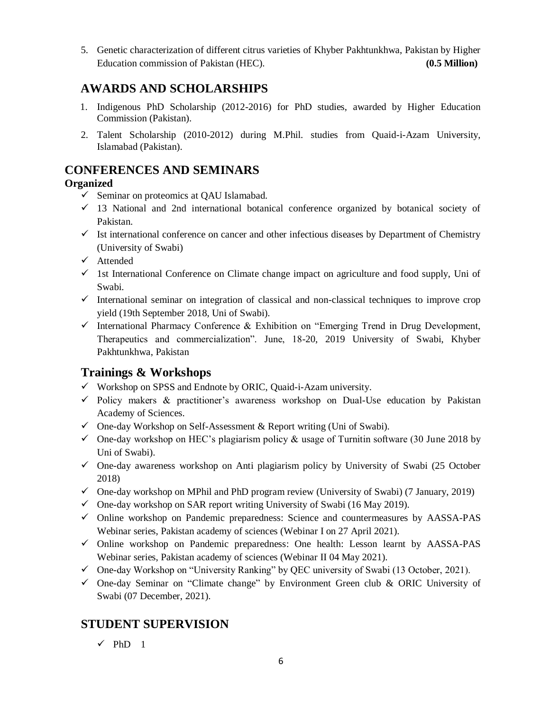5. Genetic characterization of different citrus varieties of Khyber Pakhtunkhwa, Pakistan by Higher Education commission of Pakistan (HEC). **(0.5 Million)**

# **AWARDS AND SCHOLARSHIPS**

- 1. Indigenous PhD Scholarship (2012-2016) for PhD studies, awarded by Higher Education Commission (Pakistan).
- 2. Talent Scholarship (2010-2012) during M.Phil. studies from Quaid-i-Azam University, Islamabad (Pakistan).

# **CONFERENCES AND SEMINARS**

## **Organized**

- $\checkmark$  Seminar on proteomics at QAU Islamabad.
- $\checkmark$  13 National and 2nd international botanical conference organized by botanical society of Pakistan.
- $\checkmark$  Ist international conference on cancer and other infectious diseases by Department of Chemistry (University of Swabi)
- Attended
- $\checkmark$  1st International Conference on Climate change impact on agriculture and food supply, Uni of Swabi.
- $\checkmark$  International seminar on integration of classical and non-classical techniques to improve crop yield (19th September 2018, Uni of Swabi).
- $\checkmark$  International Pharmacy Conference & Exhibition on "Emerging Trend in Drug Development, Therapeutics and commercialization". June, 18-20, 2019 University of Swabi, Khyber Pakhtunkhwa, Pakistan

# **Trainings & Workshops**

- $\checkmark$  Workshop on SPSS and Endnote by ORIC, Quaid-i-Azam university.
- $\checkmark$  Policy makers & practitioner's awareness workshop on Dual-Use education by Pakistan Academy of Sciences.
- $\checkmark$  One-day Workshop on Self-Assessment & Report writing (Uni of Swabi).
- $\checkmark$  One-day workshop on HEC's plagiarism policy & usage of Turnitin software (30 June 2018 by Uni of Swabi).
- $\checkmark$  One-day awareness workshop on Anti plagiarism policy by University of Swabi (25 October 2018)
- $\checkmark$  One-day workshop on MPhil and PhD program review (University of Swabi) (7 January, 2019)
- $\checkmark$  One-day workshop on SAR report writing University of Swabi (16 May 2019).
- Online workshop on Pandemic preparedness: Science and countermeasures by AASSA-PAS Webinar series, Pakistan academy of sciences (Webinar I on 27 April 2021).
- $\checkmark$  Online workshop on Pandemic preparedness: One health: Lesson learnt by AASSA-PAS Webinar series, Pakistan academy of sciences (Webinar II 04 May 2021).
- $\checkmark$  One-day Workshop on "University Ranking" by QEC university of Swabi (13 October, 2021).
- $\checkmark$  One-day Seminar on "Climate change" by Environment Green club & ORIC University of Swabi (07 December, 2021).

# **STUDENT SUPERVISION**

 $\checkmark$  PhD 1